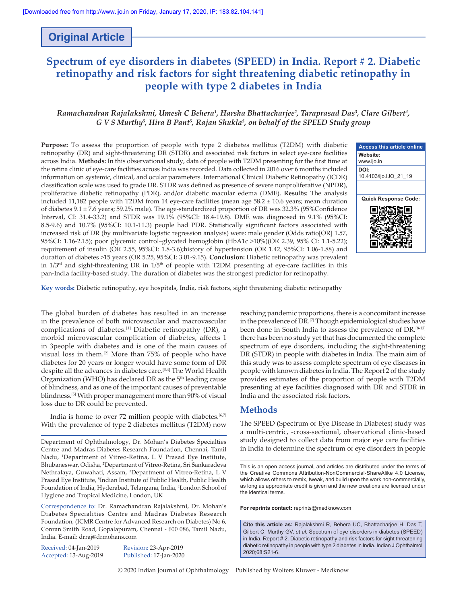# **Original Article**

# **Spectrum of eye disorders in diabetes (SPEED) in India. Report # 2. Diabetic retinopathy and risk factors for sight threatening diabetic retinopathy in people with type 2 diabetes in India**

# *Ramachandran Rajalakshmi, Umesh C Behera1 , Harsha Bhattacharjee<sup>2</sup> , Taraprasad Das3 , Clare Gilbert4 , G V S Murthy5 , Hira B Pant5 , Rajan Shukla5 , on behalf of the SPEED Study group*

**Purpose:** To assess the proportion of people with type 2 diabetes mellitus (T2DM) with diabetic retinopathy (DR) and sight-threatening DR (STDR) and associated risk factors in select eye-care facilities across India. **Methods:** In this observational study, data of people with T2DM presenting for the first time at the retina clinic of eye-care facilities across India was recorded. Data collected in 2016 over 6 months included information on systemic, clinical, and ocular parameters. International Clinical Diabetic Retinopathy (ICDR) classification scale was used to grade DR. STDR was defined as presence of severe nonproliferative (NPDR), proliferative diabetic retinopathy (PDR), and/or diabetic macular edema (DME). **Results:** The analysis included 11,182 people with T2DM from 14 eye-care facilities (mean age  $58.2 \pm 10.6$  years; mean duration of diabetes 9.1 ± 7.6 years; 59.2% male). The age‑standardized proportion of DR was 32.3% (95%Confidence Interval, CI: 31.4‑33.2) and STDR was 19.1% (95%CI: 18.4‑19.8). DME was diagnosed in 9.1% (95%CI: 8.5-9.6) and 10.7% (95%CI: 10.1-11.3) people had PDR. Statistically significant factors associated with increased risk of DR (by multivariate logistic regression analysis) were: male gender (Odds ratio[OR] 1.57, 95%CI: 1.16‑2.15); poor glycemic control–glycated hemoglobin (HbA1c >10%)(OR 2.39, 95% CI: 1.1‑5.22); requirement of insulin (OR 2.55, 95%CI: 1.8–3.6);history of hypertension (OR 1.42, 95%CI: 1.06-1.88) and duration of diabetes >15 years (OR 5.25, 95%CI: 3.01‑9.15). **Conclusion:** Diabetic retinopathy was prevalent in  $1/3$ <sup>rd</sup> and sight-threatening DR in  $1/5<sup>th</sup>$  of people with T2DM presenting at eye-care facilities in this pan-India facility-based study. The duration of diabetes was the strongest predictor for retinopathy.



**Key words:** Diabetic retinopathy, eye hospitals, India, risk factors, sight threatening diabetic retinopathy

The global burden of diabetes has resulted in an increase in the prevalence of both microvascular and macrovascular complications of diabetes.[1] Diabetic retinopathy (DR), a morbid microvascular complication of diabetes, affects 1 in 3people with diabetes and is one of the main causes of visual loss in them.[2] More than 75% of people who have diabetes for 20 years or longer would have some form of DR despite all the advances in diabetes care.<sup>[3,4]</sup> The World Health Organization (WHO) has declared DR as the 5<sup>th</sup> leading cause of blindness, and as one of the important causes of preventable blindness.[5] With proper management more than 90% of visual loss due to DR could be prevented.

India is home to over 72 million people with diabetes.<sup>[6,7]</sup> With the prevalence of type 2 diabetes mellitus (T2DM) now

Received: 04-Jan-2019 Revision: 23-Apr-2019

Accepted: 13-Aug-2019 Published: 17-Jan-2020

reaching pandemic proportions, there is a concomitant increase in the prevalence of DR.[7] Though epidemiological studies have been done in South India to assess the prevalence of DR,<sup>[8-13]</sup> there has been no study yet that has documented the complete spectrum of eye disorders, including the sight-threatening DR (STDR) in people with diabetes in India. The main aim of this study was to assess complete spectrum of eye diseases in people with known diabetes in India. The Report 2 of the study provides estimates of the proportion of people with T2DM presenting at eye facilities diagnosed with DR and STDR in India and the associated risk factors.

# **Methods**

The SPEED (Spectrum of Eye Disease in Diabetes) study was a multi-centric, -cross-sectional, observational clinic-based study designed to collect data from major eye care facilities in India to determine the spectrum of eye disorders in people

**For reprints contact:** reprints@medknow.com

**Cite this article as:** Rajalakshmi R, Behera UC, Bhattacharjee H, Das T, Gilbert C, Murthy GV, *et al*. Spectrum of eye disorders in diabetes (SPEED) in India. Report # 2. Diabetic retinopathy and risk factors for sight threatening diabetic retinopathy in people with type 2 diabetes in India. Indian J Ophthalmol 2020;68:S21-6.

© 2020 Indian Journal of Ophthalmology | Published by Wolters Kluwer - Medknow

Department of Ophthalmology, Dr. Mohan's Diabetes Specialties Centre and Madras Diabetes Research Foundation, Chennai, Tamil Nadu, 1 Department of Vitreo-Retina, L V Prasad Eye Institute, Bhubaneswar, Odisha, 2 Department of Vitreo-Retina, Sri Sankaradeva Nethralaya, Guwahati, Assam, <sup>3</sup>Department of Vitreo-Retina, L V Prasad Eye Institute, <sup>5</sup>Indian Institute of Public Health, Public Health Foundation of India, Hyderabad, Telangana, India, <sup>4</sup>London School of Hygiene and Tropical Medicine, London, UK

Correspondence to: Dr. Ramachandran Rajalakshmi, Dr. Mohan's Diabetes Specialities Centre and Madras Diabetes Research Foundation, (ICMR Centre for Advanced Research on Diabetes) No 6, Conran Smith Road, Gopalapuram, Chennai ‑ 600 086, Tamil Nadu, India. E‑mail: drraj@drmohans.com

This is an open access journal, and articles are distributed under the terms of the Creative Commons Attribution‑NonCommercial‑ShareAlike 4.0 License, which allows others to remix, tweak, and build upon the work non-commercially, as long as appropriate credit is given and the new creations are licensed under the identical terms.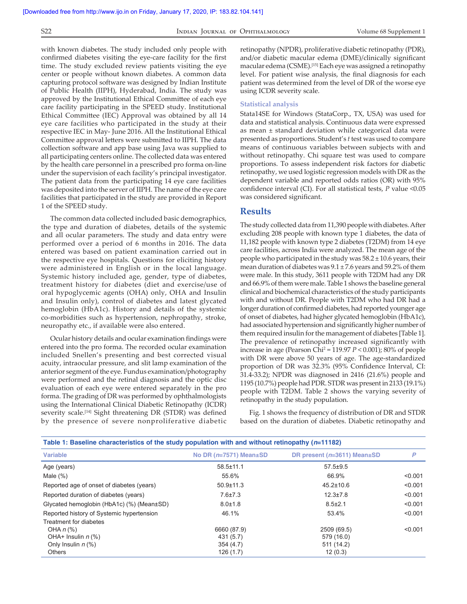with known diabetes. The study included only people with confirmed diabetes visiting the eye-care facility for the first time. The study excluded review patients visiting the eye center or people without known diabetes. A common data capturing protocol software was designed by Indian Institute of Public Health (IIPH), Hyderabad, India. The study was approved by the Institutional Ethical Committee of each eye care facility participating in the SPEED study. Institutional Ethical Committee (IEC) Approval was obtained by all 14 eye care facilities who participated in the study at their respective IEC in May- June 2016. All the Institutional Ethical Committee approval letters were submitted to IIPH. The data collection software and app base using Java was supplied to all participating centers online. The collected data was entered by the health care personnel in a prescribed pro forma on-line under the supervision of each facility's principal investigator. The patient data from the participating 14 eye care facilities was deposited into the server of IIPH. The name of the eye care facilities that participated in the study are provided in Report 1 of the SPEED study.

The common data collected included basic demographics, the type and duration of diabetes, details of the systemic and all ocular parameters. The study and data entry were performed over a period of 6 months in 2016. The data entered was based on patient examination carried out in the respective eye hospitals. Questions for eliciting history were administered in English or in the local language. Systemic history included age, gender, type of diabetes, treatment history for diabetes (diet and exercise/use of oral hypoglycemic agents (OHA) only, OHA and Insulin and Insulin only), control of diabetes and latest glycated hemoglobin (HbA1c). History and details of the systemic co‑morbidities such as hypertension, nephropathy, stroke, neuropathy etc., if available were also entered.

Ocular history details and ocular examination findings were entered into the pro forma. The recorded ocular examination included Snellen's presenting and best corrected visual acuity, intraocular pressure, and slit lamp examination of the anterior segment of the eye. Fundus examination/photography were performed and the retinal diagnosis and the optic disc evaluation of each eye were entered separately in the pro forma. The grading of DR was performed by ophthalmologists using the International Clinical Diabetic Retinopathy (ICDR) severity scale.<sup>[14]</sup> Sight threatening DR (STDR) was defined by the presence of severe nonproliferative diabetic retinopathy (NPDR), proliferative diabetic retinopathy (PDR), and/or diabetic macular edema (DME)/clinically significant macular edema (CSME).[15] Each eye was assigned a retinopathy level. For patient wise analysis, the final diagnosis for each patient was determined from the level of DR of the worse eye using ICDR severity scale.

### **Statistical analysis**

Stata14SE for Windows (StataCorp., TX, USA) was used for data and statistical analysis. Continuous data were expressed as mean ± standard deviation while categorical data were presented as proportions. Student's *t* test was used to compare means of continuous variables between subjects with and without retinopathy. Chi square test was used to compare proportions. To assess independent risk factors for diabetic retinopathy, we used logistic regression models with DR as the dependent variable and reported odds ratios (OR) with 95% confidence interval (CI). For all statistical tests, *P* value <0.05 was considered significant.

# **Results**

The study collected data from 11,390 people with diabetes. After excluding 208 people with known type 1 diabetes, the data of 11,182 people with known type 2 diabetes (T2DM) from 14 eye care facilities, across India were analyzed. The mean age of the people who participated in the study was  $58.2 \pm 10.6$  years, their mean duration of diabetes was 9.1 ± 7.6 years and 59.2% of them were male. In this study, 3611 people with T2DM had any DR and 66.9% of them were male. Table 1 shows the baseline general clinical and biochemical characteristics of the study participants with and without DR. People with T2DM who had DR had a longer duration of confirmed diabetes, had reported younger age of onset of diabetes, had higher glycated hemoglobin (HbA1c), had associated hypertension and significantly higher number of them required insulin for the management of diabetes [Table 1]. The prevalence of retinopathy increased significantly with increase in age (Pearson Chi2 = 119.97 *P* < 0.001); 80% of people with DR were above 50 years of age. The age-standardized proportion of DR was 32.3% (95% Confidence Interval, CI: 31.4‑33.2); NPDR was diagnosed in 2416 (21.6%) people and 1195 (10.7%) people had PDR. STDR was present in 2133 (19.1%) people with T2DM. Table 2 shows the varying severity of retinopathy in the study population.

Fig. 1 shows the frequency of distribution of DR and STDR based on the duration of diabetes. Diabetic retinopathy and

| Table 1: Baseline characteristics of the study population with and without retinopathy ( $n=11182$ ) |                                |                                       |         |  |
|------------------------------------------------------------------------------------------------------|--------------------------------|---------------------------------------|---------|--|
| <b>Variable</b>                                                                                      | No DR $(n=7571)$ Mean $\pm$ SD | DR present ( $n=3611$ ) Mean $\pm$ SD | P       |  |
| Age (years)                                                                                          | $58.5 \pm 11.1$                | $57.5 \pm 9.5$                        |         |  |
| Male $(\%)$                                                                                          | 55.6%                          | 66.9%                                 | < 0.001 |  |
| Reported age of onset of diabetes (years)                                                            | $50.9 \pm 11.3$                | $45.2 \pm 10.6$                       | < 0.001 |  |
| Reported duration of diabetes (years)                                                                | $7.6 \pm 7.3$                  | $12.3 \pm 7.8$                        | < 0.001 |  |
| Glycated hemoglobin (HbA1c) (%) (Mean±SD)                                                            | $8.0 \pm 1.8$                  | $8.5 \pm 2.1$                         | < 0.001 |  |
| Reported history of Systemic hypertension                                                            | 46.1%                          | 53.4%                                 | < 0.001 |  |
| Treatment for diabetes                                                                               |                                |                                       |         |  |
| OHA $n$ (%)                                                                                          | 6660 (87.9)                    | 2509 (69.5)                           | < 0.001 |  |
| OHA+ Insulin $n$ (%)                                                                                 | 431 (5.7)                      | 579 (16.0)                            |         |  |
| Only Insulin $n$ (%)                                                                                 | 354(4.7)                       | 511 (14.2)                            |         |  |
| <b>Others</b>                                                                                        | 126 (1.7)                      | 12(0.3)                               |         |  |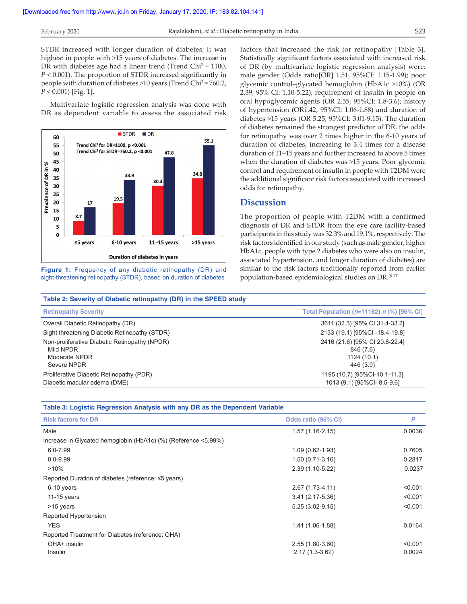STDR increased with longer duration of diabetes; it was highest in people with >15 years of diabetes. The increase in DR with diabetes age had a linear trend (Trend Chi<sup>2</sup> = 1100, *P* < 0.001). The proportion of STDR increased significantly in people with duration of diabetes >10 years (Trend Chi<sup>2</sup> = 760.2, *P* < 0.001) [Fig. 1].

Multivariate logistic regression analysis was done with DR as dependent variable to assess the associated risk



**Figure 1:** Frequency of any diabetic retinopathy (DR) and sight-threatening retinopathy (STDR), based on duration of diabetes

factors that increased the risk for retinopathy [Table 3]. Statistically significant factors associated with increased risk of DR (by multivariate logistic regression analysis) were: male gender (Odds ratio[OR] 1.51, 95%CI: 1.15‑1.99); poor glycemic control–glycated hemoglobin (HbA1c >10%) (OR 2.39; 95% CI: 1.10‑5.22); requirement of insulin in people on oral hypoglycemic agents (OR 2.55, 95%CI: 1.8‑3.6); history of hypertension (OR1.42, 95%CI: 1.06‑1.88) and duration of diabetes >15 years (OR 5.25, 95%CI: 3.01‑9.15). The duration of diabetes remained the strongest predictor of DR, the odds for retinopathy was over 2 times higher in the 6‑10 years of duration of diabetes, increasing to 3.4 times for a disease duration of 11–15 years and further increased to above 5 times when the duration of diabetes was >15 years. Poor glycemic control and requirement of insulin in people with T2DM were the additional significant risk factors associated with increased odds for retinopathy.

## **Discussion**

The proportion of people with T2DM with a confirmed diagnosis of DR and STDR from the eye care facility-based participants in this study was 32.3% and 19.1%, respectively. The risk factors identified in our study (such as male gender, higher HbA1c, people with type 2 diabetes who were also on insulin, associated hypertension, and longer duration of diabetes) are similar to the risk factors traditionally reported from earlier population-based epidemiological studies on DR.<sup>[8-13]</sup>

| Table 2: Severity of Diabetic retinopathy (DR) in the SPEED study                          |                                                                         |  |
|--------------------------------------------------------------------------------------------|-------------------------------------------------------------------------|--|
| <b>Retinopathy Severity</b>                                                                | Total Population ( $n=11182$ ) n (%) [95% CI]                           |  |
| Overall Diabetic Retinopathy (DR)                                                          | 3611 (32.3) [95% CI 31.4-33.2]                                          |  |
| Sight threatening Diabetic Retinopathy (STDR)                                              | 2133 (19.1) [95%CI-18.4-19.8]                                           |  |
| Non-proliferative Diabetic Retinopathy (NPDR)<br>Mild NPDR<br>Moderate NPDR<br>Severe NPDR | 2416 (21.6) [95% CI 20.8-22.4]<br>846 (7.6)<br>1124 (10.1)<br>446 (3.9) |  |
| Proliferative Diabetic Retinopathy (PDR)<br>Diabetic macular edema (DME)                   | 1195 (10.7) [95%CI-10.1-11.3]<br>1013 (9.1) [95%CI-8.5-9.6]             |  |

| Table 3: Logistic Regression Analysis with any DR as the Dependent Variable |                     |         |  |
|-----------------------------------------------------------------------------|---------------------|---------|--|
| <b>Risk factors for DR</b>                                                  | Odds ratio (95% CI) | P       |  |
| Male                                                                        | $1.57(1.16-2.15)$   | 0.0036  |  |
| Increase in Glycated hemoglobin (HbA1c) (%) (Reference <5.99%)              |                     |         |  |
| $6.0 - 7.99$                                                                | $1.09(0.62 - 1.93)$ | 0.7605  |  |
| 8.0-9.99                                                                    | $1.50(0.71-3.16)$   | 0.2817  |  |
| $>10\%$                                                                     | 2.39 (1.10-5.22)    | 0.0237  |  |
| Reported Duration of diabetes (reference: ≤5 years)                         |                     |         |  |
| 6-10 years                                                                  | 2.67 (1.73-4.11)    | < 0.001 |  |
| 11-15 years                                                                 | $3.41(2.17-5.36)$   | < 0.001 |  |
| >15 years                                                                   | $5.25(3.02-9.15)$   | < 0.001 |  |
| Reported Hypertension                                                       |                     |         |  |
| <b>YES</b>                                                                  | 1.41 (1.06-1.88)    | 0.0164  |  |
| Reported Treatment for Diabetes (reference: OHA)                            |                     |         |  |
| OHA+ insulin                                                                | 2.55 (1.80-3.60)    | < 0.001 |  |
| <b>Insulin</b>                                                              | $2.17(1.3-3.62)$    | 0.0024  |  |
|                                                                             |                     |         |  |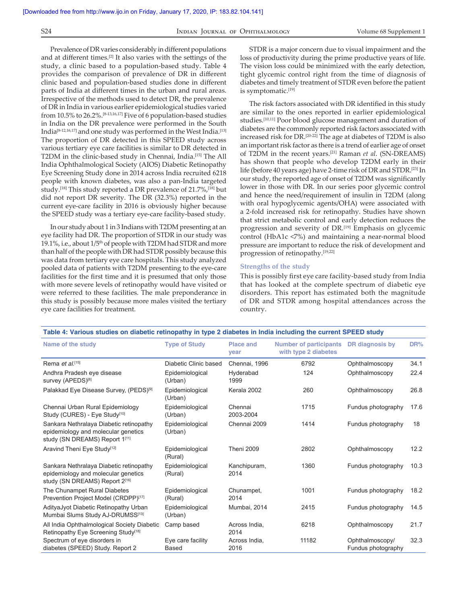#### S24 **INDIAN JOURNAL OF OPHTHALMOLOGY** Volume 68 Supplement 1

Prevalence of DR varies considerably in different populations and at different times.[2] It also varies with the settings of the study, a clinic based to a population-based study. Table 4 provides the comparison of prevalence of DR in different clinic based and population‑based studies done in different parts of India at different times in the urban and rural areas. Irrespective of the methods used to detect DR, the prevalence of DR in India in various earlier epidemiological studies varied from 10.5% to 26.2%.<sup>[8-13,16,17]</sup> Five of 6 population-based studies in India on the DR prevalence were performed in the South India[8‑12,16,17] and one study was performed in the West India.[13] The proportion of DR detected in this SPEED study across various tertiary eye care facilities is similar to DR detected in T2DM in the clinic-based study in Chennai, India.<sup>[15]</sup> The All India Ophthalmological Society (AIOS) Diabetic Retinopathy Eye Screening Study done in 2014 across India recruited 6218 people with known diabetes, was also a pan‑India targeted study.[18] This study reported a DR prevalence of 21.7%,[18] but did not report DR severity. The DR (32.3%) reported in the current eye-care facility in 2016 is obviously higher because the SPEED study was a tertiary eye-care facility-based study.

In our study about 1 in 3 Indians with T2DM presenting at an eye facility had DR. The proportion of STDR in our study was 19.1%, i.e., about 1/5<sup>th</sup> of people with T2DM had STDR and more than half of the people with DR had STDR possibly because this was data from tertiary eye care hospitals. This study analyzed pooled data of patients with T2DM presenting to the eye-care facilities for the first time and it is presumed that only those with more severe levels of retinopathy would have visited or were referred to these facilities. The male preponderance in this study is possibly because more males visited the tertiary eye care facilities for treatment.

STDR is a major concern due to visual impairment and the loss of productivity during the prime productive years of life. The vision loss could be minimized with the early detection, tight glycemic control right from the time of diagnosis of diabetes and timely treatment of STDR even before the patient is symptomatic.[19]

The risk factors associated with DR identified in this study are similar to the ones reported in earlier epidemiological studies.[10,11] Poor blood glucose management and duration of diabetes are the commonly reported risk factors associated with increased risk for DR.[20‑22] The age at diabetes of T2DM is also an important risk factor as there is a trend of earlier age of onset of T2DM in the recent years.[21] Raman *et al*. (SN‑DREAMS) has shown that people who develop T2DM early in their life (before 40 years age) have 2-time risk of DR and STDR.<sup>[23]</sup> In our study, the reported age of onset of T2DM was significantly lower in those with DR. In our series poor glycemic control and hence the need/requirement of insulin in T2DM (along with oral hypoglycemic agents/OHA) were associated with a 2‑fold increased risk for retinopathy. Studies have shown that strict metabolic control and early detection reduces the progression and severity of DR.[19] Emphasis on glycemic control (HbA1c <7%) and maintaining a near-normal blood pressure are important to reduce the risk of development and progression of retinopathy.[19,22]

#### **Strengths of the  study**

This is possibly first eye care facility-based study from India that has looked at the complete spectrum of diabetic eye disorders. This report has estimated both the magnitude of DR and STDR among hospital attendances across the country.

| Table 4: Various studies on diabetic retinopatity in type 2 diabetes in mula including the current SPEED study   |                                   |                          |                                                       |                                       |      |  |
|------------------------------------------------------------------------------------------------------------------|-----------------------------------|--------------------------|-------------------------------------------------------|---------------------------------------|------|--|
| Name of the study                                                                                                | <b>Type of Study</b>              | <b>Place and</b><br>year | <b>Number of participants</b><br>with type 2 diabetes | DR diagnosis by                       | DR%  |  |
| Rema et al. <sup>[15]</sup>                                                                                      | Diabetic Clinic based             | Chennai, 1996            | 6792                                                  | Ophthalmoscopy                        | 34.1 |  |
| Andhra Pradesh eye disease<br>survey (APEDS) <sup>[8]</sup>                                                      | Epidemiological<br>(Urban)        | Hyderabad<br>1999        | 124                                                   | Ophthalmoscopy                        | 22.4 |  |
| Palakkad Eye Disease Survey, (PEDS)[9]                                                                           | Epidemiological<br>(Urban)        | Kerala 2002              | 260                                                   | Ophthalmoscopy                        | 26.8 |  |
| Chennai Urban Rural Epidemiology<br>Study (CURES) - Eye Study <sup>[10]</sup>                                    | Epidemiological<br>(Urban)        | Chennai<br>2003-2004     | 1715                                                  | Fundus photography                    | 17.6 |  |
| Sankara Nethralaya Diabetic retinopathy<br>epidemiology and molecular genetics<br>study (SN DREAMS) Report 1[11] | Epidemiological<br>(Urban)        | Chennai 2009             | 1414                                                  | Fundus photography                    | 18   |  |
| Aravind Theni Eye Study <sup>[12]</sup>                                                                          | Epidemiological<br>(Rural)        | <b>Theni 2009</b>        | 2802                                                  | Ophthalmoscopy                        | 12.2 |  |
| Sankara Nethralaya Diabetic retinopathy<br>epidemiology and molecular genetics<br>study (SN DREAMS) Report 2[16] | Epidemiological<br>(Rural)        | Kanchipuram,<br>2014     | 1360                                                  | Fundus photography                    | 10.3 |  |
| The Chunampet Rural Diabetes<br>Prevention Project Model (CRDPP)[17]                                             | Epidemiological<br>(Rural)        | Chunampet,<br>2014       | 1001                                                  | Fundus photography                    | 18.2 |  |
| AdityaJyot Diabetic Retinopathy Urban<br>Mumbai Slums Study AJ-DRUMSS[13]                                        | Epidemiological<br>(Urban)        | Mumbai, 2014             | 2415                                                  | Fundus photography                    | 14.5 |  |
| All India Ophthalmological Society Diabetic<br>Retinopathy Eye Screening Study <sup>[18]</sup>                   | Camp based                        | Across India,<br>2014    | 6218                                                  | Ophthalmoscopy                        | 21.7 |  |
| Spectrum of eye disorders in<br>diabetes (SPEED) Study. Report 2                                                 | Eye care facility<br><b>Based</b> | Across India.<br>2016    | 11182                                                 | Ophthalmoscopy/<br>Fundus photography | 32.3 |  |

**Table 4: Various studies on diabetic retinopathy in type 2 diabetes in India including the current SPEED study**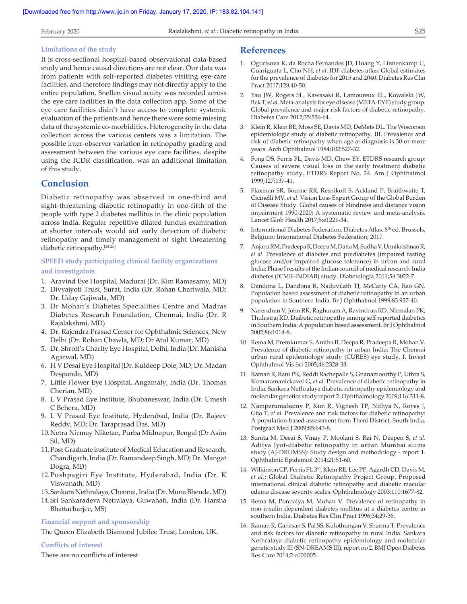#### **Limitations of the study**

It is cross‑sectional hospital‑based observational data‑based study and hence causal directions are not clear. Our data was from patients with self-reported diabetes visiting eye-care facilities, and therefore findings may not directly apply to the entire population. Snellen visual acuity was recorded across the eye care facilities in the data collection app. Some of the eye care facilities didn't have access to complete systemic evaluation of the patients and hence there were some missing data of the systemic co‑morbidities. Heterogeneity in the data collection across the various centers was a limitation. The possible inter‑observer variation in retinopathy grading and assessment between the various eye care facilities, despite using the ICDR classification, was an additional limitation of this study.

# **Conclusion**

Diabetic retinopathy was observed in one‑third and sight-threatening diabetic retinopathy in one-fifth of the people with type 2 diabetes mellitus in the clinic population across India. Regular repetitive dilated fundus examination at shorter intervals would aid early detection of diabetic retinopathy and timely management of sight threatening diabetic retinopathy.[24,25]

# **SPEED study participating clinical facility organizations and investigators**

- 1. Aravind Eye Hospital, Madurai (Dr. Kim Ramasamy, MD)
- 2. Divyajyoti Trust, Surat, India (Dr. Rohan Chariwala, MD; Dr. Uday Gajiwala, MD)
- 3. Dr Mohan's Diabetes Specialities Centre and Madras Diabetes Research Foundation, Chennai, India (Dr. R Rajalakshmi, MD)
- 4. Dr. Rajendra Prasad Center for Ophthalmic Sciences, New Delhi (Dr. Rohan Chawla, MD; Dr Atul Kumar, MD)
- 5. Dr. Shroff's Charity Eye Hospital, Delhi, India (Dr. Manisha Agarwal, MD)
- 6. H V Desai Eye Hospital (Dr. Kuldeep Dole, MD; Dr. Madan Despande, MD)
- 7. Little Flower Eye Hospital, Angamaly, India (Dr. Thomas Cherian, MD)
- 8. L V Prasad Eye Institute, Bhubaneswar, India (Dr. Umesh C Behera, MD)
- 9. L V Prasad Eye Institute, Hyderabad, India (Dr. Rajeev Reddy, MD; Dr. Taraprasad Das, MD)
- 10.Netra Nirmay Niketan, Purba Midnapur, Bengal (Dr Asim Sil, MD)
- 11.Post Graduate institute of Medical Education and Research, Chandigarh, India (Dr. Ramandeep Singh, MD; Dr. Mangat Dogra, MD)
- 12.Pushpagiri Eye Institute, Hyderabad, India (Dr. K Viswanath, MD)
- 13.Sankara Nethralaya, Chennai, India (Dr. Muna Bhende, MD)
- 14.Sri Sankaradeva Netralaya, Guwahati, India (Dr. Harsha Bhattacharjee, MS)

#### **Financial support and sponsorship**

The Queen Elizabeth Diamond Jubilee Trust, London, UK.

#### **Conflicts of interest**

There are no conflicts of interest.

# **References**

- 1. Ogurtsova K, da Rocha Fernandes JD, Huang Y, Linnenkamp U, Guariguata L, Cho NH, *et al*. IDF diabetes atlas: Global estimates for the prevalence of diabetes for 2015 and 2040. Diabetes Res Clin Pract 2017;128:40‑50.
- 2. Yau JW, Rogers SL, Kawasaki R, Lamoureux EL, Kowalski JW, Bek T, *et al*. Meta‑analysis for eye disease (META‑EYE) study group. Global prevalence and major risk factors of diabetic retinopathy. Diabetes Care 2012;35:556‑64.
- 3. Klein R, Klein BE, Moss SE, Davis MD, DeMets DL. The Wisconsin epidemiologic study of diabetic retinopathy. III. Prevalence and risk of diabetic retinopathy when age at diagnosis is 30 or more years. Arch Ophthalmol 1984;102:527‑32.
- 4. Fong DS, Ferris FL, Davis MD, Chew EY. ETDRS research group: Causes of severe visual loss in the early treatment diabetic retinopathy study. ETDRS Report No. 24. Am J Ophthalmol 1999;127:137‑41.
- 5. Flaxman SR, Bourne RR, Resnikoff S, Ackland P, Braithwaite T, Cicinelli MV, *et al*. Vision Loss Expert Group of the Global Burden of Disease Study. Global causes of blindness and distance vision impairment 1990-2020: A systematic review and meta-analysis. Lancet Glob Health 2017;5:e1221‑34.
- 6. International Diabetes Federation. Diabetes Atlas.  $8<sup>th</sup>$  ed. Brussels, Belgium: International Diabetes Federation; 2017.
- 7. AnjanaRM, PradeepaR, DeepaM, DattaM, SudhaV, UnnikrishnanR, *et al*. Prevalence of diabetes and prediabetes (impaired fasting glucose and/or impaired glucose tolerance) in urban and rural India: Phase I results of the Indian council of medical research‑India diabetes (ICMR‑INDIAB) study. Diabetologia 2011;54:3022‑7.
- 8. Dandona L, Dandona R, Naduvilath TJ, McCarty CA, Rao GN. Population based assessment of diabetic retinopathy in an urban population in Southern India. Br J Ophthalmol 1999;83:937‑40.
- 9. Narendran V, John RK, Raghuram A, Ravindran RD, Nirmalan PK, Thulasiraj RD. Diabetic retinopathy among self reported diabetics in Southern India: A population based assessment. Br J Ophthalmol 2002;86:1014‑8.
- 10. Rema M, Premkumar S, Anitha B, Deepa R, Pradeepa R, Mohan V. Prevalence of diabetic retinopathy in urban India: The Chennai urban rural epidemiology study (CURES) eye study, I. Invest Ophthalmol Vis Sci 2005;46:2328‑33.
- 11. Raman R, Rani PK, Reddi Rachepalle S, Gnanamoorthy P, Uthra S, Kumaramanickavel G, *et al*. Prevalence of diabetic retinopathy in India: Sankara Nethralaya diabetic retinopathy epidemiology and molecular genetics study report 2. Ophthalmology 2009;116:311‑8.
- 12. Namperumalsamy P, Kim R, Vignesh TP, Nithya N, Royes J, Gijo T, *et al*. Prevalence and risk factors for diabetic retinopathy: A population‑based assessment from Theni District, South India. Postgrad Med J 2009;85:643‑8.
- 13. Sunita M, Desai S, Vinay P, Moolani S, Rai N, Deepen S, *et al*. Aditya Jyot‑diabetic retinopathy in urban Mumbai slums study (AJ‑DRUMSS): Study design and methodology ‑ report 1. Ophthalmic Epidemiol 2014;21:51‑60.
- 14. Wilkinson CP, Ferris FL 3rd, Klein RE, Lee PP, Agardh CD, Davis M, *et al*.; Global Diabetic Retinopathy Project Group. Proposed international clinical diabetic retinopathy and diabetic macular edema disease severity scales. Ophthalmology 2003;110:1677‑82.
- 15. Rema M, Ponnaiya M, Mohan V. Prevalence of retinopathy in non‑insulin dependent diabetes mellitus at a diabetes centre in southern India. Diabetes Res Clin Pract 1996;34:29‑36.
- 16. Raman R, Ganesan S, Pal SS, Kulothungan V, Sharma T. Prevalence and risk factors for diabetic retinopathy in rural India. Sankara Nethralaya diabetic retinopathy epidemiology and molecular genetic study III(SN‑DREAMS III), report no 2. BMJ Open Diabetes Res Care 2014;2:e000005.